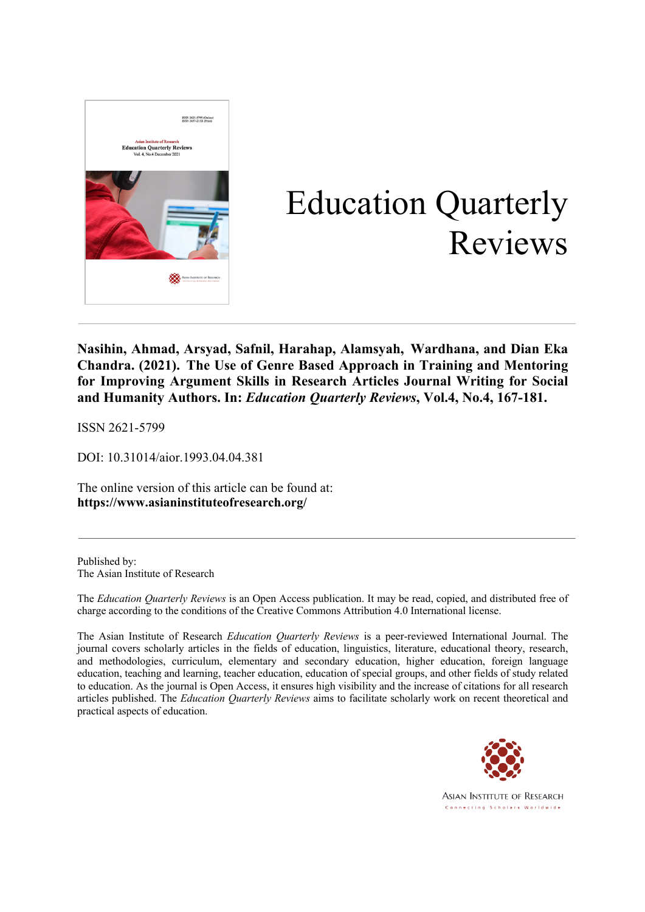

# Education Quarterly Reviews

**Nasihin, Ahmad, Arsyad, Safnil, Harahap, Alamsyah, Wardhana, and Dian Eka Chandra. (2021). The Use of Genre Based Approach in Training and Mentoring for Improving Argument Skills in Research Articles Journal Writing for Social and Humanity Authors. In:** *Education Quarterly Reviews***, Vol.4, No.4, 167-181.**

ISSN 2621-5799

DOI: 10.31014/aior.1993.04.04.381

The online version of this article can be found at: **https://www.asianinstituteofresearch.org/**

Published by: The Asian Institute of Research

The *Education Quarterly Reviews* is an Open Access publication. It may be read, copied, and distributed free of charge according to the conditions of the Creative Commons Attribution 4.0 International license.

The Asian Institute of Research *Education Quarterly Reviews* is a peer-reviewed International Journal. The journal covers scholarly articles in the fields of education, linguistics, literature, educational theory, research, and methodologies, curriculum, elementary and secondary education, higher education, foreign language education, teaching and learning, teacher education, education of special groups, and other fields of study related to education. As the journal is Open Access, it ensures high visibility and the increase of citations for all research articles published. The *Education Quarterly Reviews* aims to facilitate scholarly work on recent theoretical and practical aspects of education.



**ASIAN INSTITUTE OF RESEARCH** Connecting Scholars Worldwide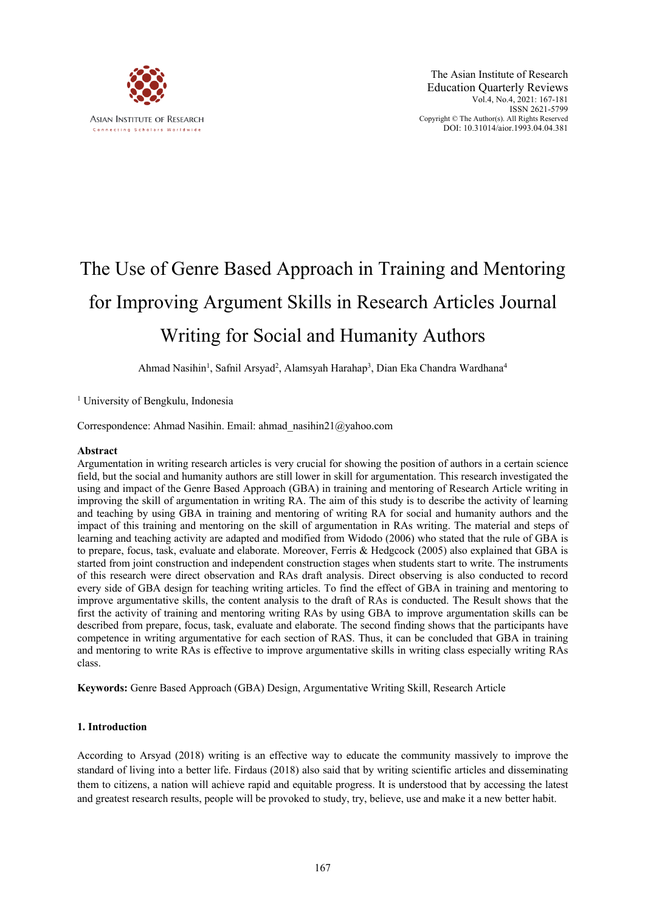

# The Use of Genre Based Approach in Training and Mentoring for Improving Argument Skills in Research Articles Journal Writing for Social and Humanity Authors

Ahmad Nasihin<sup>1</sup>, Safnil Arsyad<sup>2</sup>, Alamsyah Harahap<sup>3</sup>, Dian Eka Chandra Wardhana<sup>4</sup>

<sup>1</sup> University of Bengkulu, Indonesia

Correspondence: Ahmad Nasihin. Email: ahmad\_nasihin21@yahoo.com

# **Abstract**

Argumentation in writing research articles is very crucial for showing the position of authors in a certain science field, but the social and humanity authors are still lower in skill for argumentation. This research investigated the using and impact of the Genre Based Approach (GBA) in training and mentoring of Research Article writing in improving the skill of argumentation in writing RA. The aim of this study is to describe the activity of learning and teaching by using GBA in training and mentoring of writing RA for social and humanity authors and the impact of this training and mentoring on the skill of argumentation in RAs writing. The material and steps of learning and teaching activity are adapted and modified from Widodo (2006) who stated that the rule of GBA is to prepare, focus, task, evaluate and elaborate. Moreover, Ferris & Hedgcock (2005) also explained that GBA is started from joint construction and independent construction stages when students start to write. The instruments of this research were direct observation and RAs draft analysis. Direct observing is also conducted to record every side of GBA design for teaching writing articles. To find the effect of GBA in training and mentoring to improve argumentative skills, the content analysis to the draft of RAs is conducted. The Result shows that the first the activity of training and mentoring writing RAs by using GBA to improve argumentation skills can be described from prepare, focus, task, evaluate and elaborate. The second finding shows that the participants have competence in writing argumentative for each section of RAS. Thus, it can be concluded that GBA in training and mentoring to write RAs is effective to improve argumentative skills in writing class especially writing RAs class.

**Keywords:** Genre Based Approach (GBA) Design, Argumentative Writing Skill, Research Article

# **1. Introduction**

According to Arsyad (2018) writing is an effective way to educate the community massively to improve the standard of living into a better life. Firdaus (2018) also said that by writing scientific articles and disseminating them to citizens, a nation will achieve rapid and equitable progress. It is understood that by accessing the latest and greatest research results, people will be provoked to study, try, believe, use and make it a new better habit.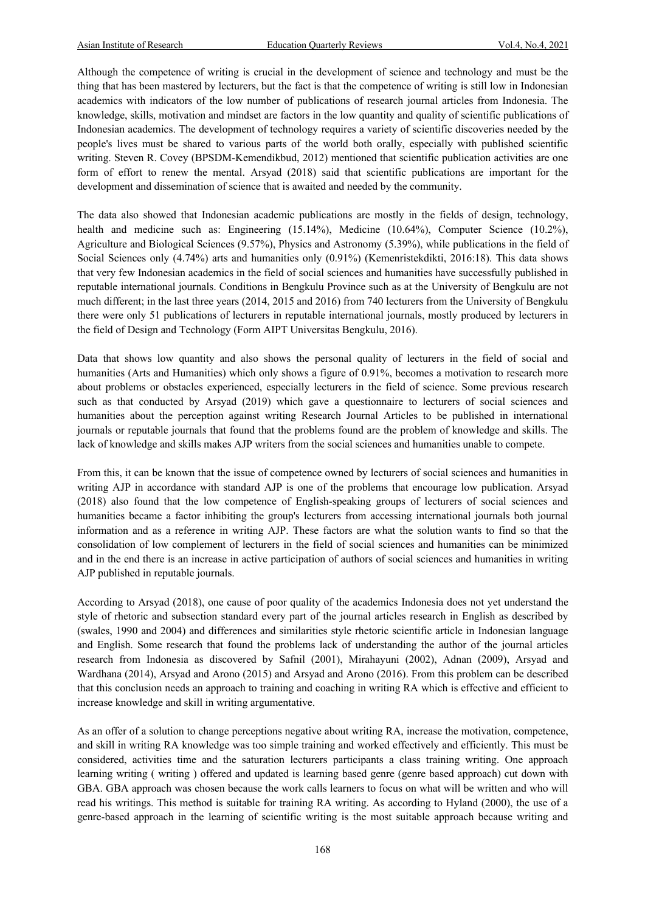Although the competence of writing is crucial in the development of science and technology and must be the thing that has been mastered by lecturers, but the fact is that the competence of writing is still low in Indonesian academics with indicators of the low number of publications of research journal articles from Indonesia. The knowledge, skills, motivation and mindset are factors in the low quantity and quality of scientific publications of Indonesian academics. The development of technology requires a variety of scientific discoveries needed by the people's lives must be shared to various parts of the world both orally, especially with published scientific writing. Steven R. Covey (BPSDM-Kemendikbud, 2012) mentioned that scientific publication activities are one form of effort to renew the mental. Arsyad (2018) said that scientific publications are important for the development and dissemination of science that is awaited and needed by the community.

The data also showed that Indonesian academic publications are mostly in the fields of design, technology, health and medicine such as: Engineering (15.14%), Medicine (10.64%), Computer Science (10.2%), Agriculture and Biological Sciences (9.57%), Physics and Astronomy (5.39%), while publications in the field of Social Sciences only (4.74%) arts and humanities only (0.91%) (Kemenristekdikti, 2016:18). This data shows that very few Indonesian academics in the field of social sciences and humanities have successfully published in reputable international journals. Conditions in Bengkulu Province such as at the University of Bengkulu are not much different; in the last three years (2014, 2015 and 2016) from 740 lecturers from the University of Bengkulu there were only 51 publications of lecturers in reputable international journals, mostly produced by lecturers in the field of Design and Technology (Form AIPT Universitas Bengkulu, 2016).

Data that shows low quantity and also shows the personal quality of lecturers in the field of social and humanities (Arts and Humanities) which only shows a figure of 0.91%, becomes a motivation to research more about problems or obstacles experienced, especially lecturers in the field of science. Some previous research such as that conducted by Arsyad (2019) which gave a questionnaire to lecturers of social sciences and humanities about the perception against writing Research Journal Articles to be published in international journals or reputable journals that found that the problems found are the problem of knowledge and skills. The lack of knowledge and skills makes AJP writers from the social sciences and humanities unable to compete.

From this, it can be known that the issue of competence owned by lecturers of social sciences and humanities in writing AJP in accordance with standard AJP is one of the problems that encourage low publication. Arsyad (2018) also found that the low competence of English-speaking groups of lecturers of social sciences and humanities became a factor inhibiting the group's lecturers from accessing international journals both journal information and as a reference in writing AJP. These factors are what the solution wants to find so that the consolidation of low complement of lecturers in the field of social sciences and humanities can be minimized and in the end there is an increase in active participation of authors of social sciences and humanities in writing AJP published in reputable journals.

According to Arsyad (2018), one cause of poor quality of the academics Indonesia does not yet understand the style of rhetoric and subsection standard every part of the journal articles research in English as described by (swales, 1990 and 2004) and differences and similarities style rhetoric scientific article in Indonesian language and English. Some research that found the problems lack of understanding the author of the journal articles research from Indonesia as discovered by Safnil (2001), Mirahayuni (2002), Adnan (2009), Arsyad and Wardhana (2014), Arsyad and Arono (2015) and Arsyad and Arono (2016). From this problem can be described that this conclusion needs an approach to training and coaching in writing RA which is effective and efficient to increase knowledge and skill in writing argumentative.

As an offer of a solution to change perceptions negative about writing RA, increase the motivation, competence, and skill in writing RA knowledge was too simple training and worked effectively and efficiently. This must be considered, activities time and the saturation lecturers participants a class training writing. One approach learning writing ( writing ) offered and updated is learning based genre (genre based approach) cut down with GBA. GBA approach was chosen because the work calls learners to focus on what will be written and who will read his writings. This method is suitable for training RA writing. As according to Hyland (2000), the use of a genre-based approach in the learning of scientific writing is the most suitable approach because writing and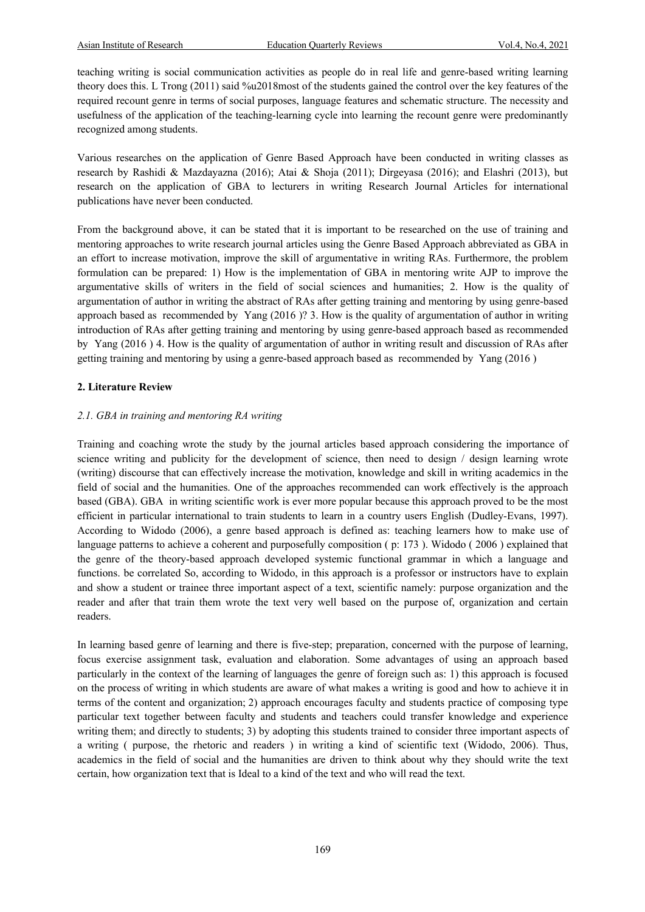teaching writing is social communication activities as people do in real life and genre-based writing learning theory does this. L Trong (2011) said %u2018most of the students gained the control over the key features of the required recount genre in terms of social purposes, language features and schematic structure. The necessity and usefulness of the application of the teaching-learning cycle into learning the recount genre were predominantly recognized among students.

Various researches on the application of Genre Based Approach have been conducted in writing classes as research by Rashidi & Mazdayazna (2016); Atai & Shoja (2011); Dirgeyasa (2016); and Elashri (2013), but research on the application of GBA to lecturers in writing Research Journal Articles for international publications have never been conducted.

From the background above, it can be stated that it is important to be researched on the use of training and mentoring approaches to write research journal articles using the Genre Based Approach abbreviated as GBA in an effort to increase motivation, improve the skill of argumentative in writing RAs. Furthermore, the problem formulation can be prepared: 1) How is the implementation of GBA in mentoring write AJP to improve the argumentative skills of writers in the field of social sciences and humanities; 2. How is the quality of argumentation of author in writing the abstract of RAs after getting training and mentoring by using genre-based approach based as recommended by Yang (2016 )? 3. How is the quality of argumentation of author in writing introduction of RAs after getting training and mentoring by using genre-based approach based as recommended by Yang (2016 ) 4. How is the quality of argumentation of author in writing result and discussion of RAs after getting training and mentoring by using a genre-based approach based as recommended by Yang (2016 )

# **2. Literature Review**

#### *2.1. GBA in training and mentoring RA writing*

Training and coaching wrote the study by the journal articles based approach considering the importance of science writing and publicity for the development of science, then need to design / design learning wrote (writing) discourse that can effectively increase the motivation, knowledge and skill in writing academics in the field of social and the humanities. One of the approaches recommended can work effectively is the approach based (GBA). GBA in writing scientific work is ever more popular because this approach proved to be the most efficient in particular international to train students to learn in a country users English (Dudley-Evans, 1997). According to Widodo (2006), a genre based approach is defined as: teaching learners how to make use of language patterns to achieve a coherent and purposefully composition ( p: 173 ). Widodo ( 2006 ) explained that the genre of the theory-based approach developed systemic functional grammar in which a language and functions. be correlated So, according to Widodo, in this approach is a professor or instructors have to explain and show a student or trainee three important aspect of a text, scientific namely: purpose organization and the reader and after that train them wrote the text very well based on the purpose of, organization and certain readers.

In learning based genre of learning and there is five-step; preparation, concerned with the purpose of learning, focus exercise assignment task, evaluation and elaboration. Some advantages of using an approach based particularly in the context of the learning of languages the genre of foreign such as: 1) this approach is focused on the process of writing in which students are aware of what makes a writing is good and how to achieve it in terms of the content and organization; 2) approach encourages faculty and students practice of composing type particular text together between faculty and students and teachers could transfer knowledge and experience writing them; and directly to students; 3) by adopting this students trained to consider three important aspects of a writing ( purpose, the rhetoric and readers ) in writing a kind of scientific text (Widodo, 2006). Thus, academics in the field of social and the humanities are driven to think about why they should write the text certain, how organization text that is Ideal to a kind of the text and who will read the text.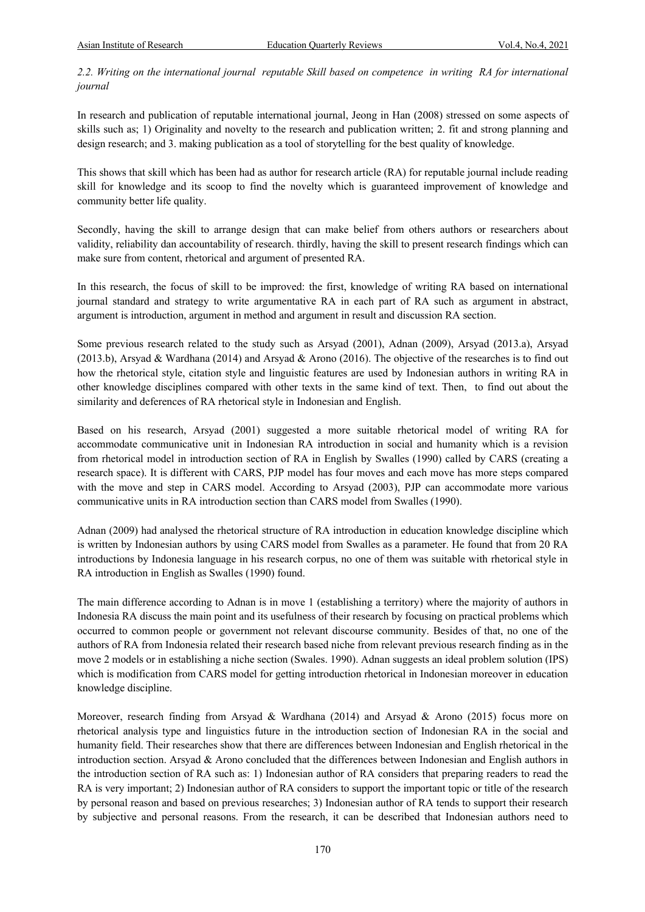2.2. Writing on the international journal reputable Skill based on competence in writing RA for international *journal*

In research and publication of reputable international journal, Jeong in Han (2008) stressed on some aspects of skills such as; 1) Originality and novelty to the research and publication written; 2. fit and strong planning and design research; and 3. making publication as a tool of storytelling for the best quality of knowledge.

This shows that skill which has been had as author for research article (RA) for reputable journal include reading skill for knowledge and its scoop to find the novelty which is guaranteed improvement of knowledge and community better life quality.

Secondly, having the skill to arrange design that can make belief from others authors or researchers about validity, reliability dan accountability of research. thirdly, having the skill to present research findings which can make sure from content, rhetorical and argument of presented RA.

In this research, the focus of skill to be improved: the first, knowledge of writing RA based on international journal standard and strategy to write argumentative RA in each part of RA such as argument in abstract, argument is introduction, argument in method and argument in result and discussion RA section.

Some previous research related to the study such as Arsyad (2001), Adnan (2009), Arsyad (2013.a), Arsyad (2013.b), Arsyad & Wardhana (2014) and Arsyad & Arono (2016). The objective of the researches is to find out how the rhetorical style, citation style and linguistic features are used by Indonesian authors in writing RA in other knowledge disciplines compared with other texts in the same kind of text. Then, to find out about the similarity and deferences of RA rhetorical style in Indonesian and English.

Based on his research, Arsyad (2001) suggested a more suitable rhetorical model of writing RA for accommodate communicative unit in Indonesian RA introduction in social and humanity which is a revision from rhetorical model in introduction section of RA in English by Swalles (1990) called by CARS (creating a research space). It is different with CARS, PJP model has four moves and each move has more steps compared with the move and step in CARS model. According to Arsyad (2003), PJP can accommodate more various communicative units in RA introduction section than CARS model from Swalles (1990).

Adnan (2009) had analysed the rhetorical structure of RA introduction in education knowledge discipline which is written by Indonesian authors by using CARS model from Swalles as a parameter. He found that from 20 RA introductions by Indonesia language in his research corpus, no one of them was suitable with rhetorical style in RA introduction in English as Swalles (1990) found.

The main difference according to Adnan is in move 1 (establishing a territory) where the majority of authors in Indonesia RA discuss the main point and its usefulness of their research by focusing on practical problems which occurred to common people or government not relevant discourse community. Besides of that, no one of the authors of RA from Indonesia related their research based niche from relevant previous research finding as in the move 2 models or in establishing a niche section (Swales. 1990). Adnan suggests an ideal problem solution (IPS) which is modification from CARS model for getting introduction rhetorical in Indonesian moreover in education knowledge discipline.

Moreover, research finding from Arsyad & Wardhana (2014) and Arsyad & Arono (2015) focus more on rhetorical analysis type and linguistics future in the introduction section of Indonesian RA in the social and humanity field. Their researches show that there are differences between Indonesian and English rhetorical in the introduction section. Arsyad & Arono concluded that the differences between Indonesian and English authors in the introduction section of RA such as: 1) Indonesian author of RA considers that preparing readers to read the RA is very important; 2) Indonesian author of RA considers to support the important topic or title of the research by personal reason and based on previous researches; 3) Indonesian author of RA tends to support their research by subjective and personal reasons. From the research, it can be described that Indonesian authors need to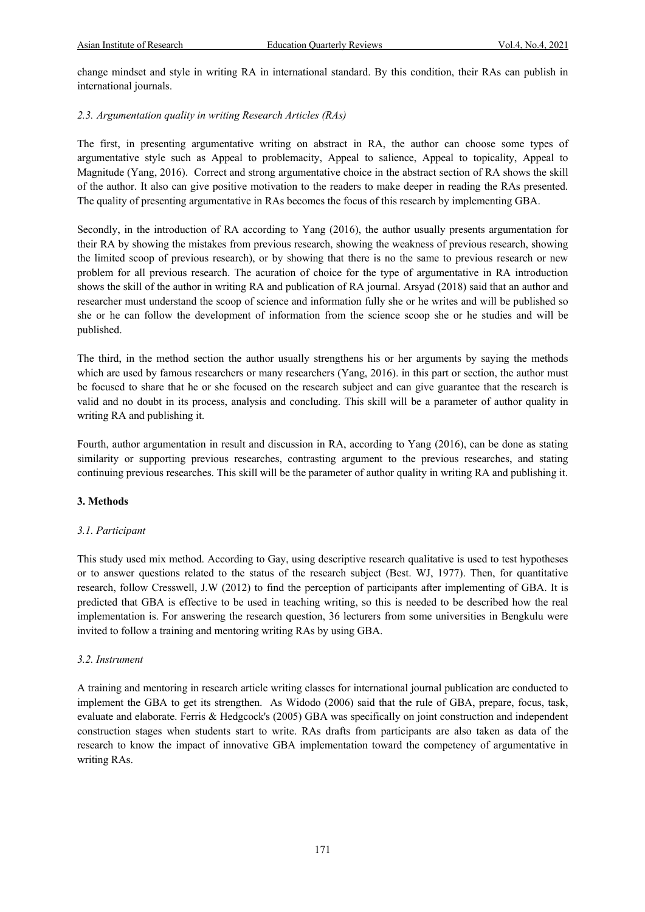change mindset and style in writing RA in international standard. By this condition, their RAs can publish in international journals.

# *2.3. Argumentation quality in writing Research Articles (RAs)*

The first, in presenting argumentative writing on abstract in RA, the author can choose some types of argumentative style such as Appeal to problemacity, Appeal to salience, Appeal to topicality, Appeal to Magnitude (Yang, 2016). Correct and strong argumentative choice in the abstract section of RA shows the skill of the author. It also can give positive motivation to the readers to make deeper in reading the RAs presented. The quality of presenting argumentative in RAs becomes the focus of this research by implementing GBA.

Secondly, in the introduction of RA according to Yang (2016), the author usually presents argumentation for their RA by showing the mistakes from previous research, showing the weakness of previous research, showing the limited scoop of previous research), or by showing that there is no the same to previous research or new problem for all previous research. The acuration of choice for the type of argumentative in RA introduction shows the skill of the author in writing RA and publication of RA journal. Arsyad (2018) said that an author and researcher must understand the scoop of science and information fully she or he writes and will be published so she or he can follow the development of information from the science scoop she or he studies and will be published.

The third, in the method section the author usually strengthens his or her arguments by saying the methods which are used by famous researchers or many researchers (Yang, 2016). in this part or section, the author must be focused to share that he or she focused on the research subject and can give guarantee that the research is valid and no doubt in its process, analysis and concluding. This skill will be a parameter of author quality in writing RA and publishing it.

Fourth, author argumentation in result and discussion in RA, according to Yang (2016), can be done as stating similarity or supporting previous researches, contrasting argument to the previous researches, and stating continuing previous researches. This skill will be the parameter of author quality in writing RA and publishing it.

#### **3. Methods**

#### *3.1. Participant*

This study used mix method. According to Gay, using descriptive research qualitative is used to test hypotheses or to answer questions related to the status of the research subject (Best. WJ, 1977). Then, for quantitative research, follow Cresswell, J.W (2012) to find the perception of participants after implementing of GBA. It is predicted that GBA is effective to be used in teaching writing, so this is needed to be described how the real implementation is. For answering the research question, 36 lecturers from some universities in Bengkulu were invited to follow a training and mentoring writing RAs by using GBA.

#### *3.2. Instrument*

A training and mentoring in research article writing classes for international journal publication are conducted to implement the GBA to get its strengthen. As Widodo (2006) said that the rule of GBA, prepare, focus, task, evaluate and elaborate. Ferris & Hedgcock's (2005) GBA was specifically on joint construction and independent construction stages when students start to write. RAs drafts from participants are also taken as data of the research to know the impact of innovative GBA implementation toward the competency of argumentative in writing RAs.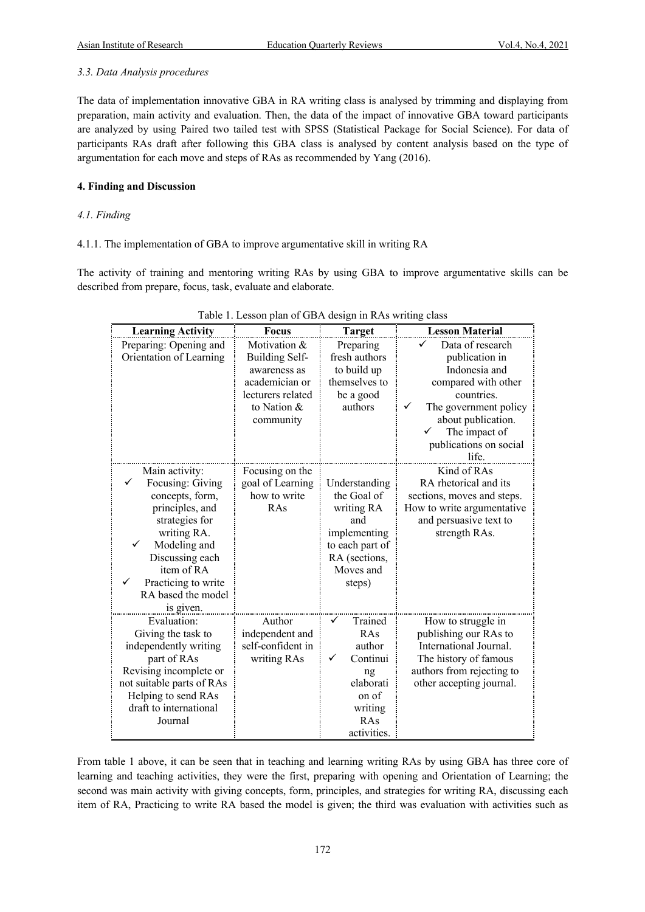### *3.3. Data Analysis procedures*

The data of implementation innovative GBA in RA writing class is analysed by trimming and displaying from preparation, main activity and evaluation. Then, the data of the impact of innovative GBA toward participants are analyzed by using Paired two tailed test with SPSS (Statistical Package for Social Science). For data of participants RAs draft after following this GBA class is analysed by content analysis based on the type of argumentation for each move and steps of RAs as recommended by Yang (2016).

# **4. Finding and Discussion**

# *4.1. Finding*

# 4.1.1. The implementation of GBA to improve argumentative skill in writing RA

The activity of training and mentoring writing RAs by using GBA to improve argumentative skills can be described from prepare, focus, task, evaluate and elaborate.

| <b>Learning Activity</b>                  | <b>Focus</b>                         | <b>Target</b>   | <b>Lesson Material</b>                             |  |
|-------------------------------------------|--------------------------------------|-----------------|----------------------------------------------------|--|
| Preparing: Opening and                    | Motivation &                         | Preparing       | Data of research                                   |  |
| Orientation of Learning                   | <b>Building Self-</b>                | fresh authors   | publication in                                     |  |
|                                           | awareness as                         | to build up     | Indonesia and                                      |  |
|                                           | academician or                       | themselves to   | compared with other                                |  |
|                                           | lecturers related                    | be a good       | countries.                                         |  |
|                                           | to Nation &                          | authors         | The government policy                              |  |
|                                           | community                            |                 | about publication.                                 |  |
|                                           |                                      |                 | The impact of                                      |  |
|                                           |                                      |                 | publications on social                             |  |
|                                           |                                      |                 | life.                                              |  |
| Main activity:                            | Focusing on the                      |                 | Kind of RAs                                        |  |
| Focusing: Giving                          | goal of Learning                     | Understanding   | RA rhetorical and its                              |  |
| concepts, form,                           | how to write                         | the Goal of     | sections, moves and steps.                         |  |
| principles, and                           | RAs                                  | writing RA      | How to write argumentative                         |  |
| strategies for                            |                                      | and             | and persuasive text to                             |  |
| writing RA.                               |                                      | implementing    | strength RAs.                                      |  |
| Modeling and                              |                                      | to each part of |                                                    |  |
| Discussing each                           |                                      | RA (sections,   |                                                    |  |
| item of RA<br>✓                           |                                      | Moves and       |                                                    |  |
| Practicing to write<br>RA based the model |                                      | steps)          |                                                    |  |
|                                           |                                      |                 |                                                    |  |
| is given.<br>Evaluation:                  | Author                               | ✓               |                                                    |  |
|                                           |                                      | Trained<br>RAs  | How to struggle in                                 |  |
| Giving the task to                        | independent and<br>self-confident in | author          | publishing our RAs to<br>International Journal.    |  |
| independently writing                     |                                      | Continui<br>✓   |                                                    |  |
| part of RAs<br>Revising incomplete or     | writing RAs                          |                 | The history of famous<br>authors from rejecting to |  |
| not suitable parts of RAs                 |                                      | ng<br>elaborati | other accepting journal.                           |  |
| Helping to send RAs                       |                                      | on of           |                                                    |  |
| draft to international                    |                                      | writing         |                                                    |  |
| Journal                                   |                                      | RAs             |                                                    |  |
|                                           |                                      | activities.     |                                                    |  |

From table 1 above, it can be seen that in teaching and learning writing RAs by using GBA has three core of learning and teaching activities, they were the first, preparing with opening and Orientation of Learning; the second was main activity with giving concepts, form, principles, and strategies for writing RA, discussing each item of RA, Practicing to write RA based the model is given; the third was evaluation with activities such as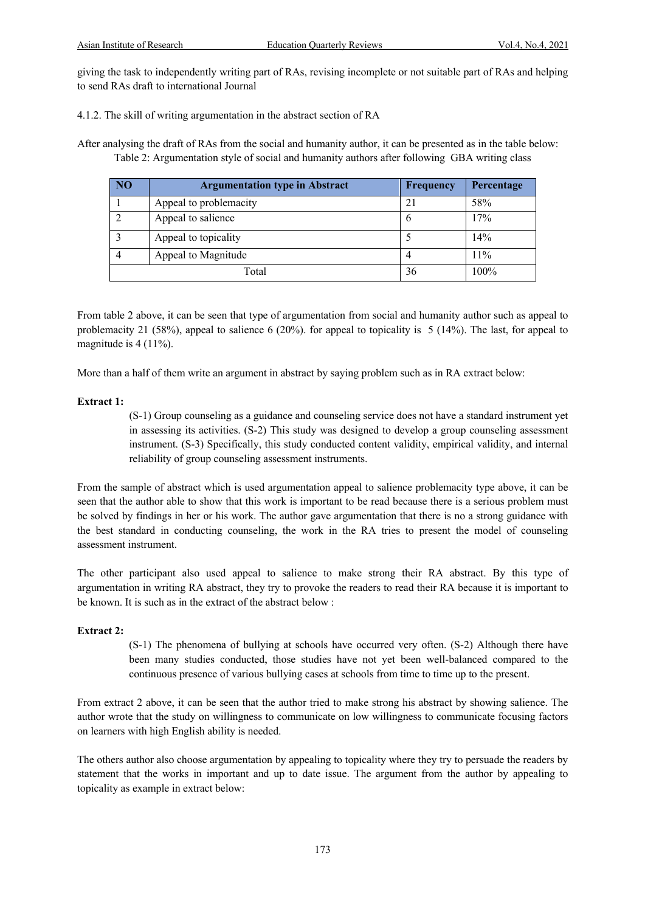giving the task to independently writing part of RAs, revising incomplete or not suitable part of RAs and helping to send RAs draft to international Journal

4.1.2. The skill of writing argumentation in the abstract section of RA

After analysing the draft of RAs from the social and humanity author, it can be presented as in the table below: Table 2: Argumentation style of social and humanity authors after following GBA writing class

| NO <sub>1</sub> | <b>Argumentation type in Abstract</b> | <b>Frequency</b> | Percentage |
|-----------------|---------------------------------------|------------------|------------|
|                 | Appeal to problemacity                | 21               | 58%        |
|                 | Appeal to salience                    | O                | 17%        |
|                 | Appeal to topicality                  |                  | 14%        |
|                 | Appeal to Magnitude                   |                  | 11%        |
| Total           |                                       | 36               | 100%       |

From table 2 above, it can be seen that type of argumentation from social and humanity author such as appeal to problemacity 21 (58%), appeal to salience 6 (20%). for appeal to topicality is 5 (14%). The last, for appeal to magnitude is 4 (11%).

More than a half of them write an argument in abstract by saying problem such as in RA extract below:

# **Extract 1:**

(S-1) Group counseling as a guidance and counseling service does not have a standard instrument yet in assessing its activities. (S-2) This study was designed to develop a group counseling assessment instrument. (S-3) Specifically, this study conducted content validity, empirical validity, and internal reliability of group counseling assessment instruments.

From the sample of abstract which is used argumentation appeal to salience problemacity type above, it can be seen that the author able to show that this work is important to be read because there is a serious problem must be solved by findings in her or his work. The author gave argumentation that there is no a strong guidance with the best standard in conducting counseling, the work in the RA tries to present the model of counseling assessment instrument.

The other participant also used appeal to salience to make strong their RA abstract. By this type of argumentation in writing RA abstract, they try to provoke the readers to read their RA because it is important to be known. It is such as in the extract of the abstract below :

#### **Extract 2:**

(S-1) The phenomena of bullying at schools have occurred very often. (S-2) Although there have been many studies conducted, those studies have not yet been well-balanced compared to the continuous presence of various bullying cases at schools from time to time up to the present.

From extract 2 above, it can be seen that the author tried to make strong his abstract by showing salience. The author wrote that the study on willingness to communicate on low willingness to communicate focusing factors on learners with high English ability is needed.

The others author also choose argumentation by appealing to topicality where they try to persuade the readers by statement that the works in important and up to date issue. The argument from the author by appealing to topicality as example in extract below: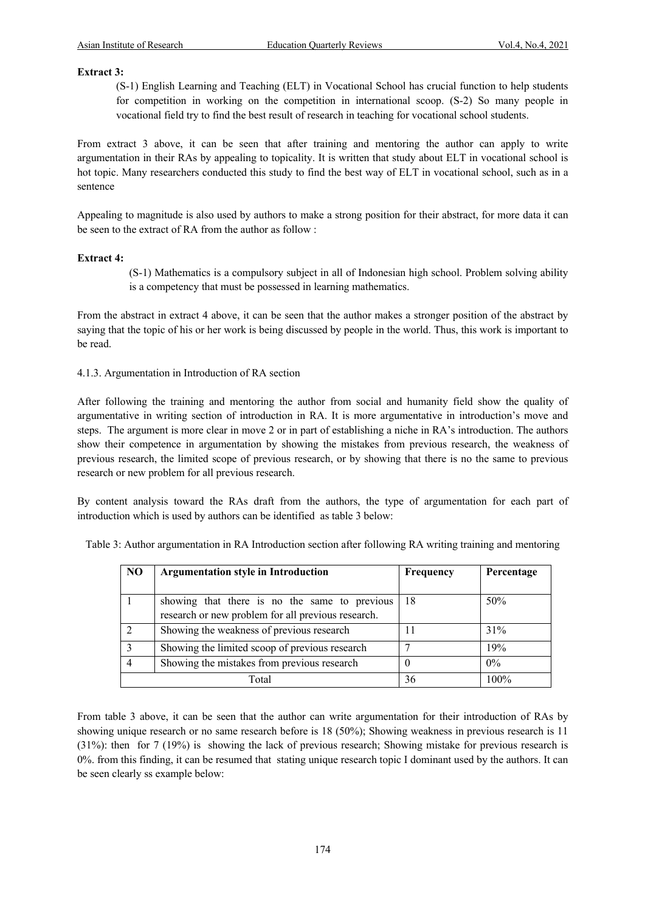#### **Extract 3:**

(S-1) English Learning and Teaching (ELT) in Vocational School has crucial function to help students for competition in working on the competition in international scoop. (S-2) So many people in vocational field try to find the best result of research in teaching for vocational school students.

From extract 3 above, it can be seen that after training and mentoring the author can apply to write argumentation in their RAs by appealing to topicality. It is written that study about ELT in vocational school is hot topic. Many researchers conducted this study to find the best way of ELT in vocational school, such as in a sentence

Appealing to magnitude is also used by authors to make a strong position for their abstract, for more data it can be seen to the extract of RA from the author as follow :

#### **Extract 4:**

(S-1) Mathematics is a compulsory subject in all of Indonesian high school. Problem solving ability is a competency that must be possessed in learning mathematics.

From the abstract in extract 4 above, it can be seen that the author makes a stronger position of the abstract by saying that the topic of his or her work is being discussed by people in the world. Thus, this work is important to be read.

4.1.3. Argumentation in Introduction of RA section

After following the training and mentoring the author from social and humanity field show the quality of argumentative in writing section of introduction in RA. It is more argumentative in introduction's move and steps. The argument is more clear in move 2 or in part of establishing a niche in RA's introduction. The authors show their competence in argumentation by showing the mistakes from previous research, the weakness of previous research, the limited scope of previous research, or by showing that there is no the same to previous research or new problem for all previous research.

By content analysis toward the RAs draft from the authors, the type of argumentation for each part of introduction which is used by authors can be identified as table 3 below:

| N <sub>O</sub> | <b>Argumentation style in Introduction</b>                                                          | Frequency | Percentage |
|----------------|-----------------------------------------------------------------------------------------------------|-----------|------------|
|                | showing that there is no the same to previous<br>research or new problem for all previous research. | 18        | 50%        |
|                | Showing the weakness of previous research                                                           | 11        | 31%        |
|                | Showing the limited scoop of previous research                                                      |           | 19%        |
|                | Showing the mistakes from previous research                                                         |           | $0\%$      |
| Total          |                                                                                                     | 36        | 100%       |

Table 3: Author argumentation in RA Introduction section after following RA writing training and mentoring

From table 3 above, it can be seen that the author can write argumentation for their introduction of RAs by showing unique research or no same research before is 18 (50%); Showing weakness in previous research is 11 (31%): then for 7 (19%) is showing the lack of previous research; Showing mistake for previous research is  $0\%$ . from this finding, it can be resumed that stating unique research topic I dominant used by the authors. It can be seen clearly ss example below: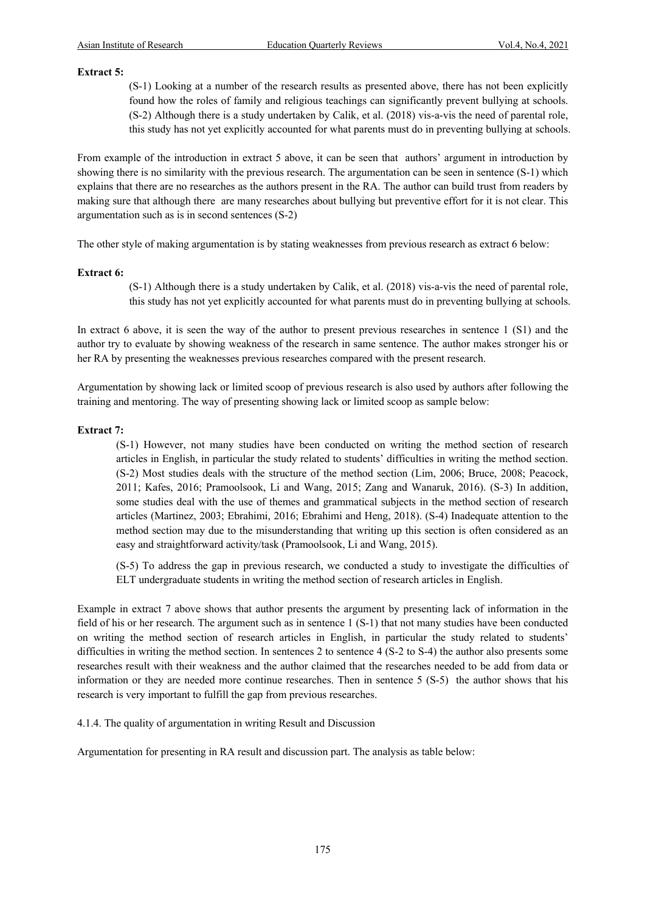#### **Extract 5:**

(S-1) Looking at a number of the research results as presented above, there has not been explicitly found how the roles of family and religious teachings can significantly prevent bullying at schools. (S-2) Although there is a study undertaken by Calik, et al. (2018) vis-a-vis the need of parental role, this study has not yet explicitly accounted for what parents must do in preventing bullying at schools.

From example of the introduction in extract 5 above, it can be seen that authors' argument in introduction by showing there is no similarity with the previous research. The argumentation can be seen in sentence (S-1) which explains that there are no researches as the authors present in the RA. The author can build trust from readers by making sure that although there are many researches about bullying but preventive effort for it is not clear. This argumentation such as is in second sentences (S-2)

The other style of making argumentation is by stating weaknesses from previous research as extract 6 below:

#### **Extract 6:**

(S-1) Although there is a study undertaken by Calik, et al. (2018) vis-a-vis the need of parental role, this study has not yet explicitly accounted for what parents must do in preventing bullying at schools.

In extract 6 above, it is seen the way of the author to present previous researches in sentence 1 (S1) and the author try to evaluate by showing weakness of the research in same sentence. The author makes stronger his or her RA by presenting the weaknesses previous researches compared with the present research.

Argumentation by showing lack or limited scoop of previous research is also used by authors after following the training and mentoring. The way of presenting showing lack or limited scoop as sample below:

#### **Extract 7:**

(S-1) However, not many studies have been conducted on writing the method section of research articles in English, in particular the study related to students' difficulties in writing the method section. (S-2) Most studies deals with the structure of the method section (Lim, 2006; Bruce, 2008; Peacock, 2011; Kafes, 2016; Pramoolsook, Li and Wang, 2015; Zang and Wanaruk, 2016). (S-3) In addition, some studies deal with the use of themes and grammatical subjects in the method section of research articles (Martinez, 2003; Ebrahimi, 2016; Ebrahimi and Heng, 2018). (S-4) Inadequate attention to the method section may due to the misunderstanding that writing up this section is often considered as an easy and straightforward activity/task (Pramoolsook, Li and Wang, 2015).

(S-5) To address the gap in previous research, we conducted a study to investigate the difficulties of ELT undergraduate students in writing the method section of research articles in English.

Example in extract 7 above shows that author presents the argument by presenting lack of information in the field of his or her research. The argument such as in sentence 1 (S-1) that not many studies have been conducted on writing the method section of research articles in English, in particular the study related to students' difficulties in writing the method section. In sentences 2 to sentence 4 (S-2 to S-4) the author also presents some researches result with their weakness and the author claimed that the researches needed to be add from data or information or they are needed more continue researches. Then in sentence 5 (S-5) the author shows that his research is very important to fulfill the gap from previous researches.

4.1.4. The quality of argumentation in writing Result and Discussion

Argumentation for presenting in RA result and discussion part. The analysis as table below: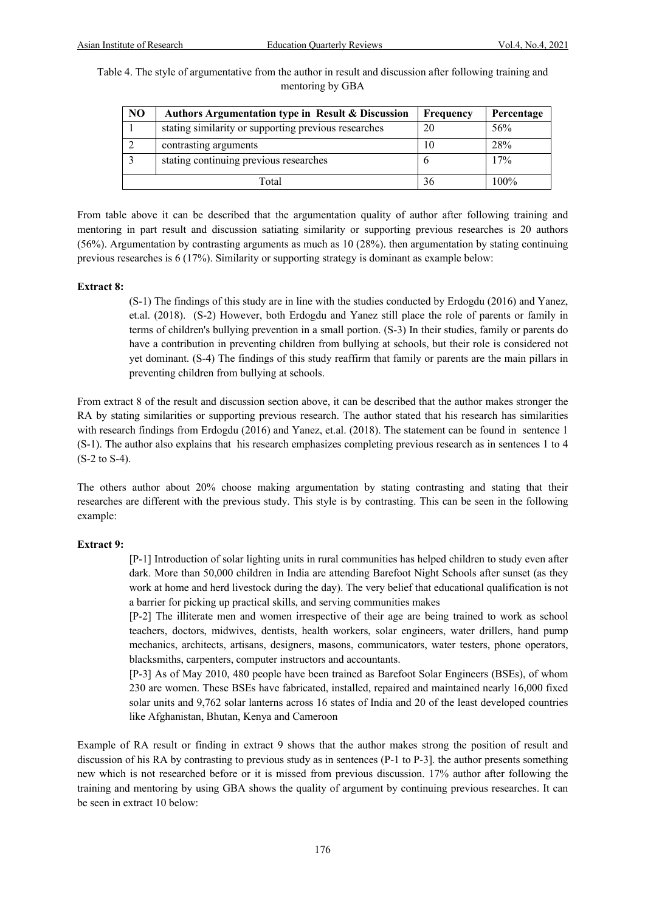Table 4. The style of argumentative from the author in result and discussion after following training and mentoring by GBA

| NO | Authors Argumentation type in Result & Discussion    | Frequency | Percentage |
|----|------------------------------------------------------|-----------|------------|
|    | stating similarity or supporting previous researches | 20        | 56%        |
|    | contrasting arguments                                | 10        | 28%        |
|    | stating continuing previous researches               |           | 17%        |
|    | Total                                                | 36        | $100\%$    |

From table above it can be described that the argumentation quality of author after following training and mentoring in part result and discussion satiating similarity or supporting previous researches is 20 authors (56%). Argumentation by contrasting arguments as much as 10 (28%). then argumentation by stating continuing previous researches is 6 (17%). Similarity or supporting strategy is dominant as example below:

#### **Extract 8:**

(S-1) The findings of this study are in line with the studies conducted by Erdogdu (2016) and Yanez, et.al. (2018). (S-2) However, both Erdogdu and Yanez still place the role of parents or family in terms of children's bullying prevention in a small portion. (S-3) In their studies, family or parents do have a contribution in preventing children from bullying at schools, but their role is considered not yet dominant. (S-4) The findings of this study reaffirm that family or parents are the main pillars in preventing children from bullying at schools.

From extract 8 of the result and discussion section above, it can be described that the author makes stronger the RA by stating similarities or supporting previous research. The author stated that his research has similarities with research findings from Erdogdu (2016) and Yanez, et.al. (2018). The statement can be found in sentence 1 (S-1). The author also explains that his research emphasizes completing previous research as in sentences 1 to 4 (S-2 to S-4).

The others author about 20% choose making argumentation by stating contrasting and stating that their researches are different with the previous study. This style is by contrasting. This can be seen in the following example:

#### **Extract 9:**

[P-1] Introduction of solar lighting units in rural communities has helped children to study even after dark. More than 50,000 children in India are attending Barefoot Night Schools after sunset (as they work at home and herd livestock during the day). The very belief that educational qualification is not a barrier for picking up practical skills, and serving communities makes

[P-2] The illiterate men and women irrespective of their age are being trained to work as school teachers, doctors, midwives, dentists, health workers, solar engineers, water drillers, hand pump mechanics, architects, artisans, designers, masons, communicators, water testers, phone operators, blacksmiths, carpenters, computer instructors and accountants.

[P-3] As of May 2010, 480 people have been trained as Barefoot Solar Engineers (BSEs), of whom 230 are women. These BSEs have fabricated, installed, repaired and maintained nearly 16,000 fixed solar units and 9,762 solar lanterns across 16 states of India and 20 of the least developed countries like Afghanistan, Bhutan, Kenya and Cameroon

Example of RA result or finding in extract 9 shows that the author makes strong the position of result and discussion of his RA by contrasting to previous study as in sentences (P-1 to P-3]. the author presents something new which is not researched before or it is missed from previous discussion. 17% author after following the training and mentoring by using GBA shows the quality of argument by continuing previous researches. It can be seen in extract 10 below: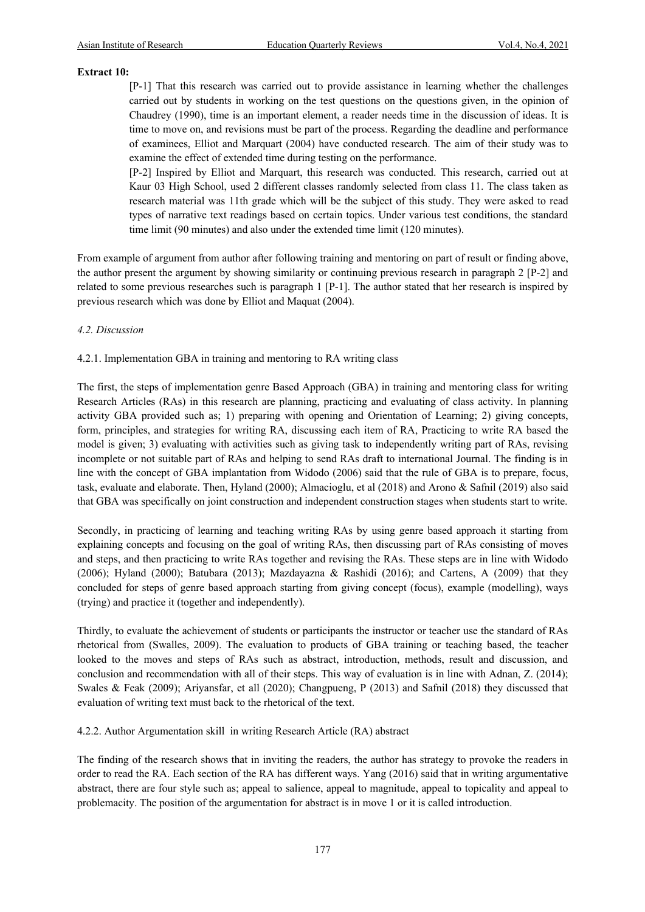# **Extract 10:**

[P-1] That this research was carried out to provide assistance in learning whether the challenges carried out by students in working on the test questions on the questions given, in the opinion of Chaudrey (1990), time is an important element, a reader needs time in the discussion of ideas. It is time to move on, and revisions must be part of the process. Regarding the deadline and performance of examinees, Elliot and Marquart (2004) have conducted research. The aim of their study was to examine the effect of extended time during testing on the performance.

[P-2] Inspired by Elliot and Marquart, this research was conducted. This research, carried out at Kaur 03 High School, used 2 different classes randomly selected from class 11. The class taken as research material was 11th grade which will be the subject of this study. They were asked to read types of narrative text readings based on certain topics. Under various test conditions, the standard time limit (90 minutes) and also under the extended time limit (120 minutes).

From example of argument from author after following training and mentoring on part of result or finding above, the author present the argument by showing similarity or continuing previous research in paragraph 2 [P-2] and related to some previous researches such is paragraph 1 [P-1]. The author stated that her research is inspired by previous research which was done by Elliot and Maquat (2004).

#### *4.2. Discussion*

4.2.1. Implementation GBA in training and mentoring to RA writing class

The first, the steps of implementation genre Based Approach (GBA) in training and mentoring class for writing Research Articles (RAs) in this research are planning, practicing and evaluating of class activity. In planning activity GBA provided such as; 1) preparing with opening and Orientation of Learning; 2) giving concepts, form, principles, and strategies for writing RA, discussing each item of RA, Practicing to write RA based the model is given; 3) evaluating with activities such as giving task to independently writing part of RAs, revising incomplete or not suitable part of RAs and helping to send RAs draft to international Journal. The finding is in line with the concept of GBA implantation from Widodo (2006) said that the rule of GBA is to prepare, focus, task, evaluate and elaborate. Then, Hyland (2000); Almacioglu, et al (2018) and Arono & Safnil (2019) also said that GBA was specifically on joint construction and independent construction stages when students start to write.

Secondly, in practicing of learning and teaching writing RAs by using genre based approach it starting from explaining concepts and focusing on the goal of writing RAs, then discussing part of RAs consisting of moves and steps, and then practicing to write RAs together and revising the RAs. These steps are in line with Widodo (2006); Hyland (2000); Batubara (2013); Mazdayazna & Rashidi (2016); and Cartens, A (2009) that they concluded for steps of genre based approach starting from giving concept (focus), example (modelling), ways (trying) and practice it (together and independently).

Thirdly, to evaluate the achievement of students or participants the instructor or teacher use the standard of RAs rhetorical from (Swalles, 2009). The evaluation to products of GBA training or teaching based, the teacher looked to the moves and steps of RAs such as abstract, introduction, methods, result and discussion, and conclusion and recommendation with all of their steps. This way of evaluation is in line with Adnan, Z. (2014); Swales & Feak (2009); Ariyansfar, et all (2020); Changpueng, P (2013) and Safnil (2018) they discussed that evaluation of writing text must back to the rhetorical of the text.

4.2.2. Author Argumentation skill in writing Research Article (RA) abstract

The finding of the research shows that in inviting the readers, the author has strategy to provoke the readers in order to read the RA. Each section of the RA has different ways. Yang (2016) said that in writing argumentative abstract, there are four style such as; appeal to salience, appeal to magnitude, appeal to topicality and appeal to problemacity. The position of the argumentation for abstract is in move 1 or it is called introduction.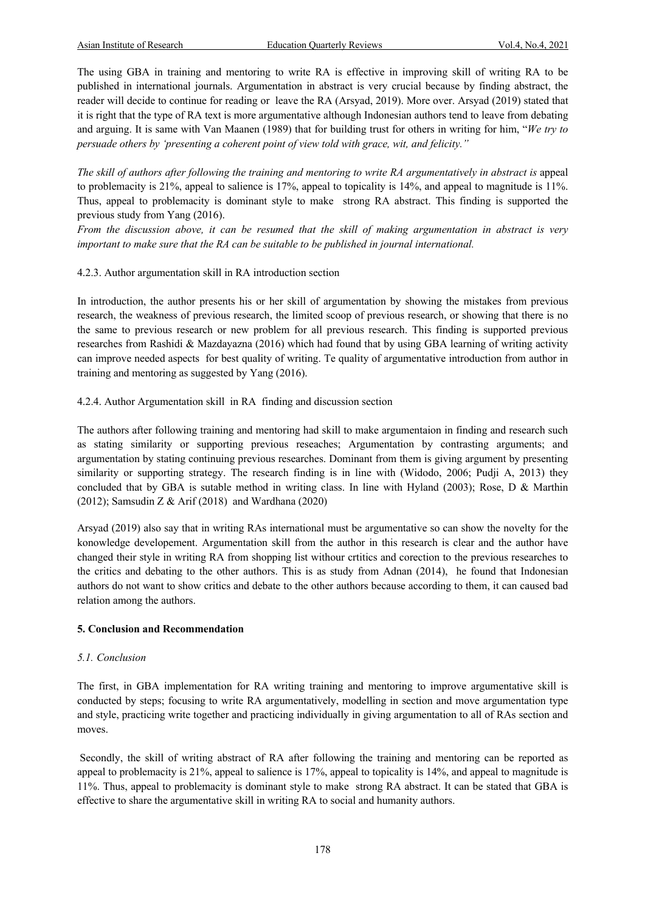The using GBA in training and mentoring to write RA is effective in improving skill of writing RA to be published in international journals. Argumentation in abstract is very crucial because by finding abstract, the reader will decide to continue for reading or leave the RA (Arsyad, 2019). More over. Arsyad (2019) stated that it is right that the type of RA text is more argumentative although Indonesian authors tend to leave from debating and arguing. It is same with Van Maanen (1989) that for building trust for others in writing for him, "*We try to persuade others by 'presenting a coherent point of view told with grace, wit, and felicity."* 

*The skill of authors after following the training and mentoring to write RA argumentatively in abstract is appeal* to problemacity is 21%, appeal to salience is 17%, appeal to topicality is 14%, and appeal to magnitude is 11%. Thus, appeal to problemacity is dominant style to make strong RA abstract. This finding is supported the previous study from Yang (2016).

*From the discussion above, it can be resumed that the skill of making argumentation in abstract is very important to make sure that the RA can be suitable to be published in journal international.* 

# 4.2.3. Author argumentation skill in RA introduction section

In introduction, the author presents his or her skill of argumentation by showing the mistakes from previous research, the weakness of previous research, the limited scoop of previous research, or showing that there is no the same to previous research or new problem for all previous research. This finding is supported previous researches from Rashidi & Mazdayazna (2016) which had found that by using GBA learning of writing activity can improve needed aspects for best quality of writing. Te quality of argumentative introduction from author in training and mentoring as suggested by Yang (2016).

4.2.4. Author Argumentation skill in RA finding and discussion section

The authors after following training and mentoring had skill to make argumentaion in finding and research such as stating similarity or supporting previous reseaches; Argumentation by contrasting arguments; and argumentation by stating continuing previous researches. Dominant from them is giving argument by presenting similarity or supporting strategy. The research finding is in line with (Widodo, 2006; Pudji A, 2013) they concluded that by GBA is sutable method in writing class. In line with Hyland (2003); Rose, D & Marthin (2012); Samsudin Z & Arif (2018) and Wardhana (2020)

Arsyad (2019) also say that in writing RAs international must be argumentative so can show the novelty for the konowledge developement. Argumentation skill from the author in this research is clear and the author have changed their style in writing RA from shopping list withour crtitics and corection to the previous researches to the critics and debating to the other authors. This is as study from Adnan (2014), he found that Indonesian authors do not want to show critics and debate to the other authors because according to them, it can caused bad relation among the authors.

#### **5. Conclusion and Recommendation**

### *5.1. Conclusion*

The first, in GBA implementation for RA writing training and mentoring to improve argumentative skill is conducted by steps; focusing to write RA argumentatively, modelling in section and move argumentation type and style, practicing write together and practicing individually in giving argumentation to all of RAs section and moves.

Secondly, the skill of writing abstract of RA after following the training and mentoring can be reported as appeal to problemacity is 21%, appeal to salience is 17%, appeal to topicality is 14%, and appeal to magnitude is 11%. Thus, appeal to problemacity is dominant style to make strong RA abstract. It can be stated that GBA is effective to share the argumentative skill in writing RA to social and humanity authors.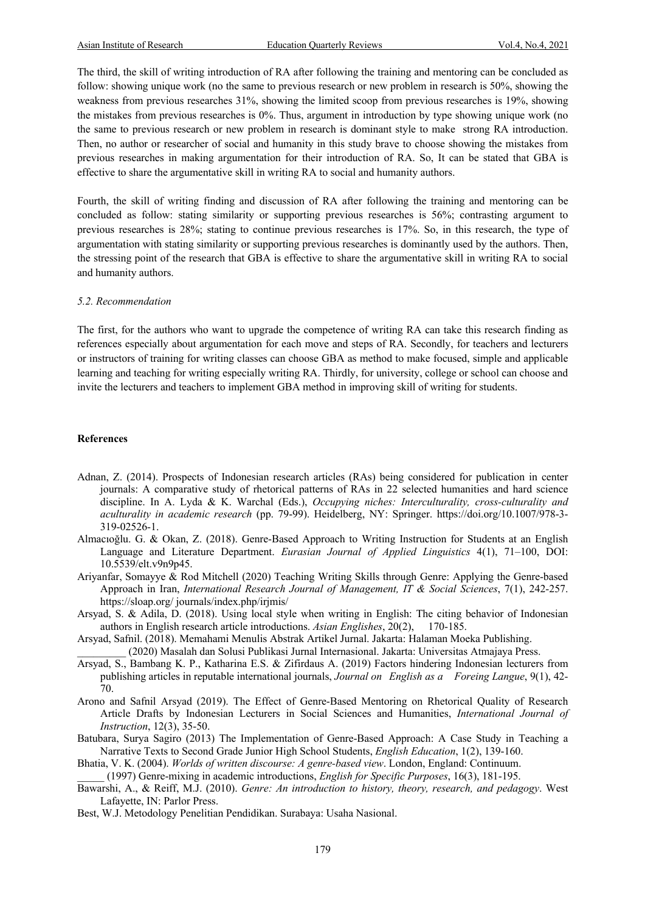The third, the skill of writing introduction of RA after following the training and mentoring can be concluded as follow: showing unique work (no the same to previous research or new problem in research is 50%, showing the weakness from previous researches 31%, showing the limited scoop from previous researches is 19%, showing the mistakes from previous researches is 0%. Thus, argument in introduction by type showing unique work (no the same to previous research or new problem in research is dominant style to make strong RA introduction. Then, no author or researcher of social and humanity in this study brave to choose showing the mistakes from previous researches in making argumentation for their introduction of RA. So, It can be stated that GBA is effective to share the argumentative skill in writing RA to social and humanity authors.

Fourth, the skill of writing finding and discussion of RA after following the training and mentoring can be concluded as follow: stating similarity or supporting previous researches is 56%; contrasting argument to previous researches is 28%; stating to continue previous researches is 17%. So, in this research, the type of argumentation with stating similarity or supporting previous researches is dominantly used by the authors. Then, the stressing point of the research that GBA is effective to share the argumentative skill in writing RA to social and humanity authors.

#### *5.2. Recommendation*

The first, for the authors who want to upgrade the competence of writing RA can take this research finding as references especially about argumentation for each move and steps of RA. Secondly, for teachers and lecturers or instructors of training for writing classes can choose GBA as method to make focused, simple and applicable learning and teaching for writing especially writing RA. Thirdly, for university, college or school can choose and invite the lecturers and teachers to implement GBA method in improving skill of writing for students.

#### **References**

- Adnan, Z. (2014). Prospects of Indonesian research articles (RAs) being considered for publication in center journals: A comparative study of rhetorical patterns of RAs in 22 selected humanities and hard science discipline. In A. Lyda & K. Warchal (Eds.), *Occupying niches: Interculturality, cross-culturality and aculturality in academic research* (pp. 79-99). Heidelberg, NY: Springer. https://doi.org/10.1007/978-3- 319-02526-1.
- Almacıoğlu. G. & Okan, Z. (2018). Genre-Based Approach to Writing Instruction for Students at an English Language and Literature Department. *Eurasian Journal of Applied Linguistics* 4(1), 71–100, DOI: 10.5539/elt.v9n9p45.
- Ariyanfar, Somayye & Rod Mitchell (2020) Teaching Writing Skills through Genre: Applying the Genre-based Approach in Iran, *International Research Journal of Management, IT & Social Sciences*, 7(1), 242-257. https://sloap.org/ journals/index.php/irjmis/
- Arsyad, S. & Adila, D. (2018). Using local style when writing in English: The citing behavior of Indonesian authors in English research article introductions. *Asian Englishes*, 20(2), 170-185.
- Arsyad, Safnil. (2018). Memahami Menulis Abstrak Artikel Jurnal. Jakarta: Halaman Moeka Publishing. \_\_\_\_\_\_\_\_\_ (2020) Masalah dan Solusi Publikasi Jurnal Internasional. Jakarta: Universitas Atmajaya Press.
- Arsyad, S., Bambang K. P., Katharina E.S. & Zifirdaus A. (2019) Factors hindering Indonesian lecturers from publishing articles in reputable international journals, *Journal on English as a Foreing Langue*, 9(1), 42- 70.
- Arono and Safnil Arsyad (2019). The Effect of Genre-Based Mentoring on Rhetorical Quality of Research Article Drafts by Indonesian Lecturers in Social Sciences and Humanities, *International Journal of Instruction*, 12(3), 35-50.
- Batubara, Surya Sagiro (2013) The Implementation of Genre-Based Approach: A Case Study in Teaching a Narrative Texts to Second Grade Junior High School Students, *English Education*, 1(2), 139-160.
- Bhatia, V. K. (2004). *Worlds of written discourse: A genre-based view*. London, England: Continuum. \_\_\_\_\_ (1997) Genre-mixing in academic introductions, *English for Specific Purposes*, 16(3), 181-195.
- Bawarshi, A., & Reiff, M.J. (2010). *Genre: An introduction to history, theory, research, and pedagogy*. West Lafayette, IN: Parlor Press.
- Best, W.J. Metodology Penelitian Pendidikan. Surabaya: Usaha Nasional.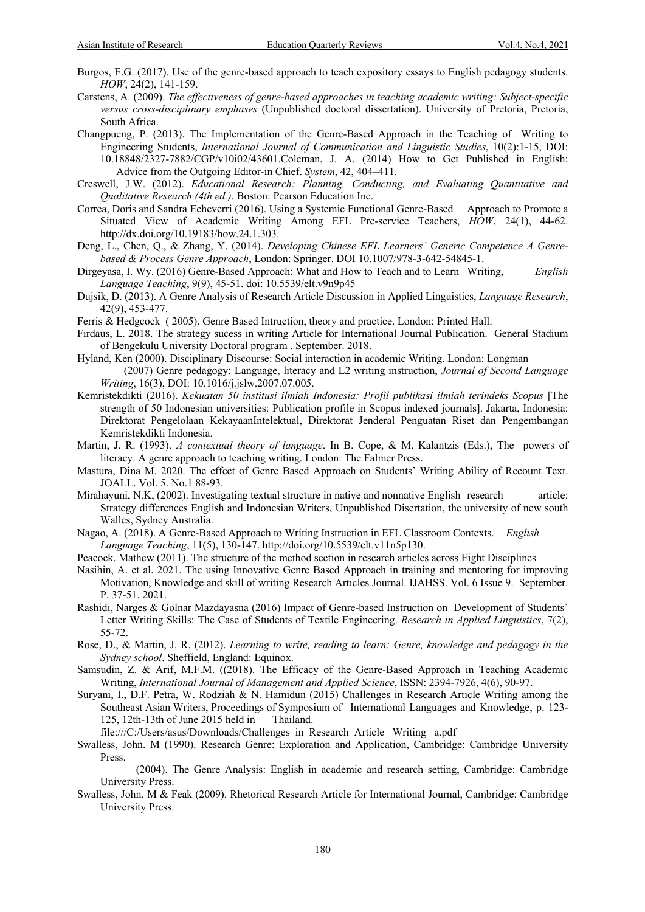- Burgos, E.G. (2017). Use of the genre-based approach to teach expository essays to English pedagogy students. *HOW*, 24(2), 141-159.
- Carstens, A. (2009). *The effectiveness of genre-based approaches in teaching academic writing: Subject-specific versus cross-disciplinary emphases* (Unpublished doctoral dissertation). University of Pretoria, Pretoria, South Africa.
- Changpueng, P. (2013). The Implementation of the Genre-Based Approach in the Teaching of Writing to Engineering Students, *International Journal of Communication and Linguistic Studies*, 10(2):1-15, DOI: 10.18848/2327-7882/CGP/v10i02/43601.Coleman, J. A. (2014) How to Get Published in English: Advice from the Outgoing Editor-in Chief. *System*, 42, 404–411.
- Creswell, J.W. (2012). *Educational Research: Planning, Conducting, and Evaluating Quantitative and Qualitative Research (4th ed.)*. Boston: Pearson Education Inc.
- Correa, Doris and Sandra Echeverri (2016). Using a Systemic Functional Genre-Based Approach to Promote a Situated View of Academic Writing Among EFL Pre-service Teachers, *HOW*, 24(1), 44-62. http://dx.doi.org/10.19183/how.24.1.303.
- Deng, L., Chen, Q., & Zhang, Y. (2014). *Developing Chinese EFL Learners' Generic Competence A Genrebased & Process Genre Approach*, London: Springer. DOI 10.1007/978-3-642-54845-1.
- Dirgeyasa, I. Wy. (2016) Genre-Based Approach: What and How to Teach and to Learn Writing, *English Language Teaching*, 9(9), 45-51. doi: 10.5539/elt.v9n9p45
- Dujsik, D. (2013). A Genre Analysis of Research Article Discussion in Applied Linguistics, *Language Research*, 42(9), 453-477.
- Ferris & Hedgcock ( 2005). Genre Based Intruction, theory and practice. London: Printed Hall.
- Firdaus, L. 2018. The strategy sucess in writing Article for International Journal Publication. General Stadium of Bengekulu University Doctoral program . September. 2018.
- Hyland, Ken (2000). Disciplinary Discourse: Social interaction in academic Writing. London: Longman \_\_\_\_\_\_\_\_ (2007) Genre pedagogy: Language, literacy and L2 writing instruction, *Journal of Second Language Writing*, 16(3), DOI: 10.1016/j.jslw.2007.07.005.
- Kemristekdikti (2016). *Kekuatan 50 institusi ilmiah Indonesia: Profil publikasi ilmiah terindeks Scopus* [The strength of 50 Indonesian universities: Publication profile in Scopus indexed journals]. Jakarta, Indonesia: Direktorat Pengelolaan KekayaanIntelektual, Direktorat Jenderal Penguatan Riset dan Pengembangan Kemristekdikti Indonesia.
- Martin, J. R. (1993). *A contextual theory of language*. In B. Cope, & M. Kalantzis (Eds.), The powers of literacy. A genre approach to teaching writing. London: The Falmer Press.
- Mastura, Dina M. 2020. The effect of Genre Based Approach on Students' Writing Ability of Recount Text. JOALL. Vol. 5. No.1 88-93.
- Mirahayuni, N.K, (2002). Investigating textual structure in native and nonnative English research article: Strategy differences English and Indonesian Writers, Unpublished Disertation, the university of new south Walles, Sydney Australia.
- Nagao, A. (2018). A Genre-Based Approach to Writing Instruction in EFL Classroom Contexts. *English Language Teaching*, 11(5), 130-147. http://doi.org/10.5539/elt.v11n5p130.
- Peacock. Mathew (2011). The structure of the method section in research articles across Eight Disciplines
- Nasihin, A. et al. 2021. The using Innovative Genre Based Approach in training and mentoring for improving Motivation, Knowledge and skill of writing Research Articles Journal. IJAHSS. Vol. 6 Issue 9. September. P. 37-51. 2021.
- Rashidi, Narges & Golnar Mazdayasna (2016) Impact of Genre-based Instruction on Development of Students' Letter Writing Skills: The Case of Students of Textile Engineering. *Research in Applied Linguistics*, 7(2), 55-72.
- Rose, D., & Martin, J. R. (2012). *Learning to write, reading to learn: Genre, knowledge and pedagogy in the Sydney school*. Sheffield, England: Equinox.
- Samsudin, Z. & Arif, M.F.M. ((2018). The Efficacy of the Genre-Based Approach in Teaching Academic Writing, *International Journal of Management and Applied Science*, ISSN: 2394-7926, 4(6), 90-97.
- Suryani, I., D.F. Petra, W. Rodziah & N. Hamidun (2015) Challenges in Research Article Writing among the Southeast Asian Writers, Proceedings of Symposium of International Languages and Knowledge, p. 123- 125, 12th-13th of June 2015 held in Thailand.

file:///C:/Users/asus/Downloads/Challenges\_in\_Research\_Article \_Writing\_ a.pdf

Swalless, John. M (1990). Research Genre: Exploration and Application, Cambridge: Cambridge University Press.

Swalless, John. M & Feak (2009). Rhetorical Research Article for International Journal, Cambridge: Cambridge University Press.

\_\_\_\_\_\_\_\_\_\_ (2004). The Genre Analysis: English in academic and research setting, Cambridge: Cambridge University Press.